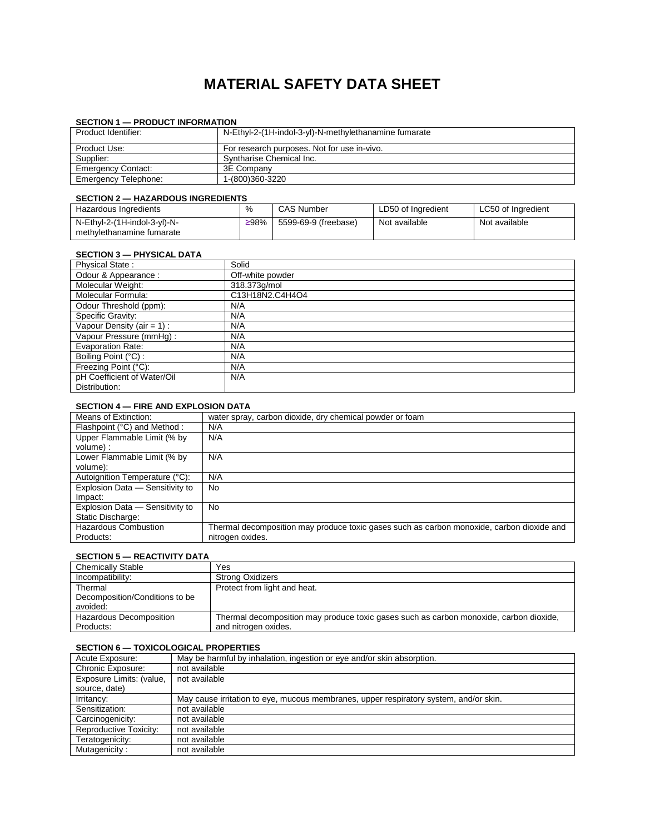# **MATERIAL SAFETY DATA SHEET**

## **SECTION 1 — PRODUCT INFORMATION**

| Product Identifier:       | N-Ethyl-2-(1H-indol-3-yl)-N-methylethanamine fumarate |
|---------------------------|-------------------------------------------------------|
| Product Use:              | For research purposes. Not for use in-vivo.           |
| Supplier:                 | Syntharise Chemical Inc.                              |
| <b>Emergency Contact:</b> | 3E Company                                            |
| Emergency Telephone:      | 1-(800)360-3220                                       |

# **SECTION 2 — HAZARDOUS INGREDIENTS**

| ---------                                                 |      |                      |                    |                    |
|-----------------------------------------------------------|------|----------------------|--------------------|--------------------|
| Hazardous Ingredients                                     | %    | <b>CAS Number</b>    | LD50 of Ingredient | LC50 of Ingredient |
| N-Ethyl-2-(1H-indol-3-yl)-N-<br>methylethanamine fumarate | ≥98% | 5599-69-9 (freebase) | Not available      | Not available      |

### **SECTION 3 — PHYSICAL DATA**

| <b>Physical State:</b>                       | Solid            |
|----------------------------------------------|------------------|
| Odour & Appearance:                          | Off-white powder |
| Molecular Weight:                            | 318.373q/mol     |
| Molecular Formula:                           | C13H18N2.C4H4O4  |
| Odour Threshold (ppm):                       | N/A              |
| Specific Gravity:                            | N/A              |
| Vapour Density (air = $1$ ) :                | N/A              |
| Vapour Pressure (mmHg):                      | N/A              |
| <b>Evaporation Rate:</b>                     | N/A              |
| Boiling Point (°C) :                         | N/A              |
| Freezing Point (°C):                         | N/A              |
| pH Coefficient of Water/Oil<br>Distribution: | N/A              |
|                                              |                  |

# **SECTION 4 — FIRE AND EXPLOSION DATA**

| Means of Extinction:            | water spray, carbon dioxide, dry chemical powder or foam                                  |
|---------------------------------|-------------------------------------------------------------------------------------------|
| Flashpoint (°C) and Method :    | N/A                                                                                       |
| Upper Flammable Limit (% by     | N/A                                                                                       |
| volume):                        |                                                                                           |
| Lower Flammable Limit (% by     | N/A                                                                                       |
| volume):                        |                                                                                           |
| Autoignition Temperature (°C):  | N/A                                                                                       |
| Explosion Data - Sensitivity to | No.                                                                                       |
| Impact:                         |                                                                                           |
| Explosion Data - Sensitivity to | No                                                                                        |
| Static Discharge:               |                                                                                           |
| <b>Hazardous Combustion</b>     | Thermal decomposition may produce toxic gases such as carbon monoxide, carbon dioxide and |
| Products:                       | nitrogen oxides.                                                                          |

# **SECTION 5 — REACTIVITY DATA**

| <b>Chemically Stable</b>                   | Yes                                                                                    |
|--------------------------------------------|----------------------------------------------------------------------------------------|
| Incompatibility:                           | <b>Strong Oxidizers</b>                                                                |
| Thermal                                    | Protect from light and heat.                                                           |
| Decomposition/Conditions to be<br>avoided: |                                                                                        |
| Hazardous Decomposition                    | Thermal decomposition may produce toxic gases such as carbon monoxide, carbon dioxide, |
| Products:                                  | and nitrogen oxides.                                                                   |

#### **SECTION 6 — TOXICOLOGICAL PROPERTIES**

| Acute Exposure:          | May be harmful by inhalation, ingestion or eye and/or skin absorption.                |
|--------------------------|---------------------------------------------------------------------------------------|
| Chronic Exposure:        | not available                                                                         |
| Exposure Limits: (value, | not available                                                                         |
| source, date)            |                                                                                       |
| Irritancy:               | May cause irritation to eye, mucous membranes, upper respiratory system, and/or skin. |
| Sensitization:           | not available                                                                         |
| Carcinogenicity:         | not available                                                                         |
| Reproductive Toxicity:   | not available                                                                         |
| Teratogenicity:          | not available                                                                         |
| Mutagenicity:            | not available                                                                         |